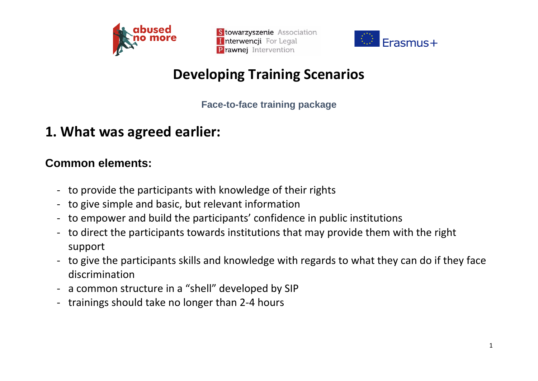



# **Developing Training Scenarios**

**Face-to-face training package**

## **1. What was agreed earlier:**

#### **Common elements:**

- to provide the participants with knowledge of their rights
- to give simple and basic, but relevant information
- to empower and build the participants' confidence in public institutions
- to direct the participants towards institutions that may provide them with the right support
- to give the participants skills and knowledge with regards to what they can do if they face discrimination
- a common structure in a "shell" developed by SIP
- trainings should take no longer than 2-4 hours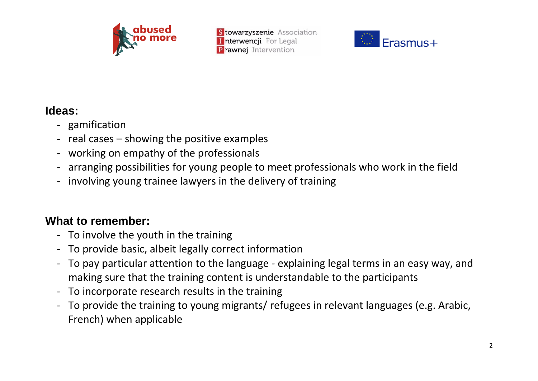



#### **Ideas:**

- gamification
- real cases showing the positive examples
- working on empathy of the professionals
- arranging possibilities for young people to meet professionals who work in the field
- involving young trainee lawyers in the delivery of training

### **What to remember:**

- To involve the youth in the training
- To provide basic, albeit legally correct information
- To pay particular attention to the language explaining legal terms in an easy way, and making sure that the training content is understandable to the participants
- To incorporate research results in the training
- To provide the training to young migrants/ refugees in relevant languages (e.g. Arabic, French) when applicable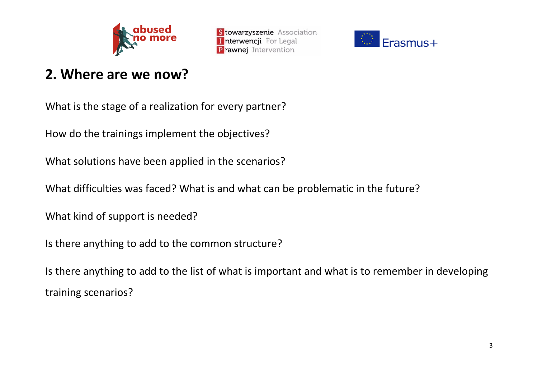



## **2. Where are we now?**

What is the stage of a realization for every partner?

How do the trainings implement the objectives?

What solutions have been applied in the scenarios?

What difficulties was faced? What is and what can be problematic in the future?

What kind of support is needed?

Is there anything to add to the common structure?

Is there anything to add to the list of what is important and what is to remember in developing training scenarios?